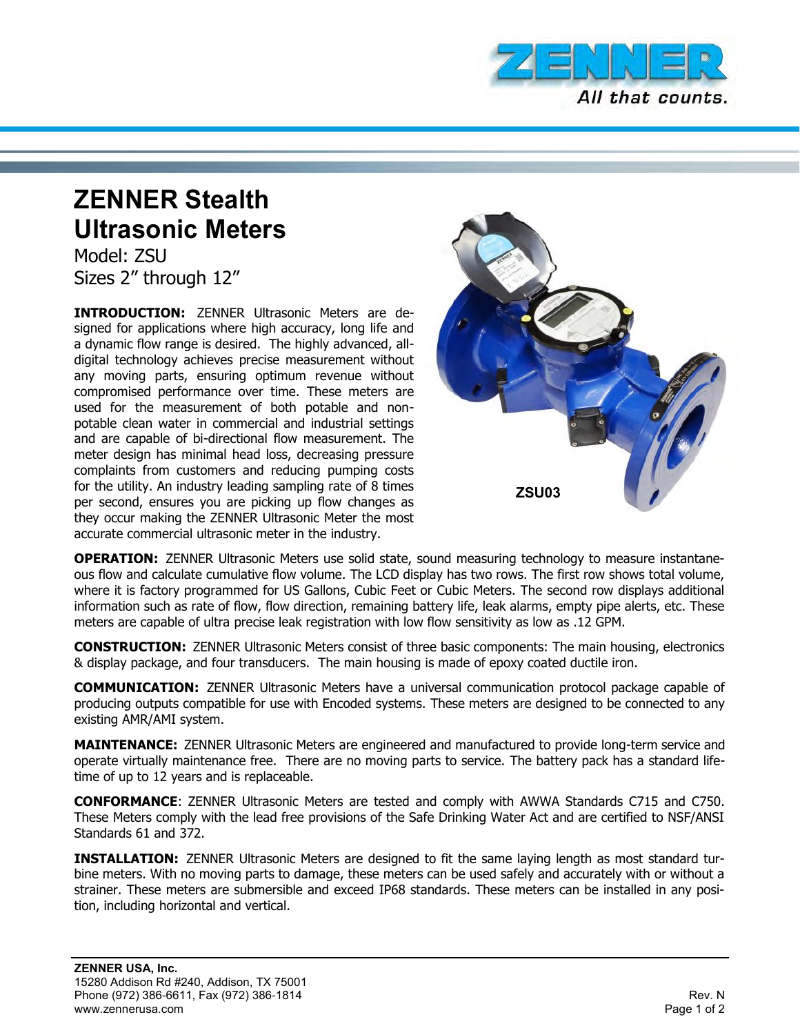

## **ZENNER Stealth Ultrasonic Meters**

Model: ZSU Sizes 2" through 12"

**INTRODUCTION:** ZENNER Ultrasonic Meters are designed for applications where high accuracy, long life and a dynamic flow range is desired. The highly advanced, alldigital technology achieves precise measurement without any moving parts, ensuring optimum revenue without compromised performance over time. These meters are used for the measurement of both potable and nonpotable clean water in commercial and industrial settings and are capable of bi-directional flow measurement. The meter design has minimal head loss, decreasing pressure complaints from customers and reducing pumping costs for the utility. An industry leading sampling rate of 8 times per second, ensures you are picking up flow changes as they occur making the ZENNER Ultrasonic Meter the most accurate commercial ultrasonic meter in the industry.



**OPERATION:** ZENNER Ultrasonic Meters use solid state, sound measuring technology to measure instantaneous flow and calculate cumulative flow volume. The LCD display has two rows. The first row shows total volume, where it is factory programmed for US Gallons, Cubic Feet or Cubic Meters. The second row displays additional information such as rate of flow, flow direction, remaining battery life, leak alarms, empty pipe alerts, etc. These meters are capable of ultra precise leak registration with low flow sensitivity as low as .12 GPM.

**CONSTRUCTION:** ZENNER Ultrasonic Meters consist of three basic components: The main housing, electronics & display package, and four transducers. The main housing is made of epoxy coated ductile iron.

**COMMUNICATION:** ZENNER Ultrasonic Meters have a universal communication protocol package capable of producing outputs compatible for use with Encoded systems. These meters are designed to be connected to any existing AMR/AMI system.

**MAINTENANCE:** ZENNER Ultrasonic Meters are engineered and manufactured to provide long-term service and operate virtually maintenance free. There are no moving parts to service. The battery pack has a standard lifetime of up to 12 years and is replaceable.

**CONFORMANCE**: ZENNER Ultrasonic Meters are tested and comply with AWWA Standards C715 and C750. These Meters comply with the lead free provisions of the Safe Drinking Water Act and are certified to NSF/ANSI Standards 61 and 372.

**INSTALLATION:** ZENNER Ultrasonic Meters are designed to fit the same laying length as most standard turbine meters. With no moving parts to damage, these meters can be used safely and accurately with or without a strainer. These meters are submersible and exceed IP68 standards. These meters can be installed in any position, including horizontal and vertical.